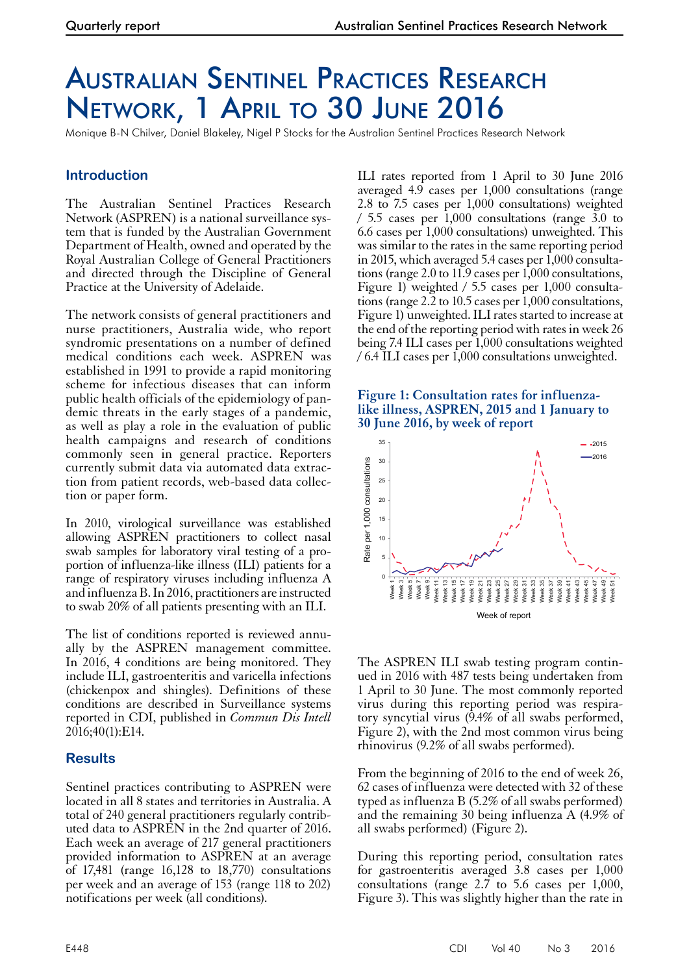## Australian Sentinel Practices Research Network, 1 April to 30 June 2016

Monique B-N Chilver, Daniel Blakeley, Nigel P Stocks for the Australian Sentinel Practices Research Network

## **Introduction**

The Australian Sentinel Practices Research Network (ASPREN) is a national surveillance system that is funded by the Australian Government Department of Health, owned and operated by the Royal Australian College of General Practitioners and directed through the Discipline of General Practice at the University of Adelaide.

The network consists of general practitioners and nurse practitioners, Australia wide, who report syndromic presentations on a number of defined medical conditions each week. ASPREN was established in 1991 to provide a rapid monitoring scheme for infectious diseases that can inform public health officials of the epidemiology of pandemic threats in the early stages of a pandemic, as well as play a role in the evaluation of public health campaigns and research of conditions commonly seen in general practice. Reporters currently submit data via automated data extraction from patient records, web-based data collection or paper form.

In 2010, virological surveillance was established allowing ASPREN practitioners to collect nasal swab samples for laboratory viral testing of a pro- portion of influenza-like illness (ILI) patients for a range of respiratory viruses including influenza A and influenza B. In 2016, practitioners are instructed to swab 20% of all patients presenting with an ILI.

The list of conditions reported is reviewed annu- ally by the ASPREN management committee. In 2016, 4 conditions are being monitored. They include ILI, gastroenteritis and varicella infections (chickenpox and shingles). Definitions of these conditions are described in Surveillance systems reported in CDI, published in *Commun Dis Intell*  $2016;40(1):E14.$ 

## **Results**

Sentinel practices contributing to ASPREN were located in all 8 states and territories in Australia. A total of 240 general practitioners regularly contrib- uted data to ASPREN in the 2nd quarter of 2016. Each week an average of 217 general practitioners provided information to ASPREN at an average of 17,481 (range 16,128 to 18,770) consultations per week and an average of 153 (range 118 to 202) notifications per week (all conditions).

ILI rates reported from 1 April to 30 June 2016 averaged 4.9 cases per 1,000 consultations (range 2.8 to 7.5 cases per 1,000 consultations) weighted / 5.5 cases per 1,000 consultations (range 3.0 to 6.6 cases per 1,000 consultations) unweighted. This was similar to the rates in the same reporting period in 2015, which averaged 5.4 cases per 1,000 consultations (range 2.0 to 11.9 cases per 1,000 consultations, Figure 1) weighted / 5.5 cases per 1,000 consultations (range 2.2 to 10.5 cases per 1,000 consultations, Figure 1) unweighted. ILI rates started to increase at the end of the reporting period with rates in week 26 being 7.4 ILI cases per 1,000 consultations weighted / 6.4 ILI cases per 1,000 consultations unweighted.

## **Figure 1: Consultation rates for influenzalike illness, ASPREN, 2015 and 1 January to 30 June 2016, by week of report**



The ASPREN ILI swab testing program contin- ued in 2016 with 487 tests being undertaken from 1 April to 30 June. The most commonly reported virus during this reporting period was respiratory syncytial virus (9.4% of all swabs performed, Figure 2), with the 2nd most common virus being rhinovirus (9.2% of all swabs performed).

From the beginning of 2016 to the end of week 26, 62 cases of influenza were detected with 32 of these typed as influenza B (5.2% of all swabs performed) and the remaining 30 being influenza A (4.9% of all swabs performed) (Figure 2).

During this reporting period, consultation rates for gastroenteritis averaged 3.8 cases per 1,000 consultations (range 2.7 to 5.6 cases per 1,000, Figure 3). This was slightly higher than the rate in